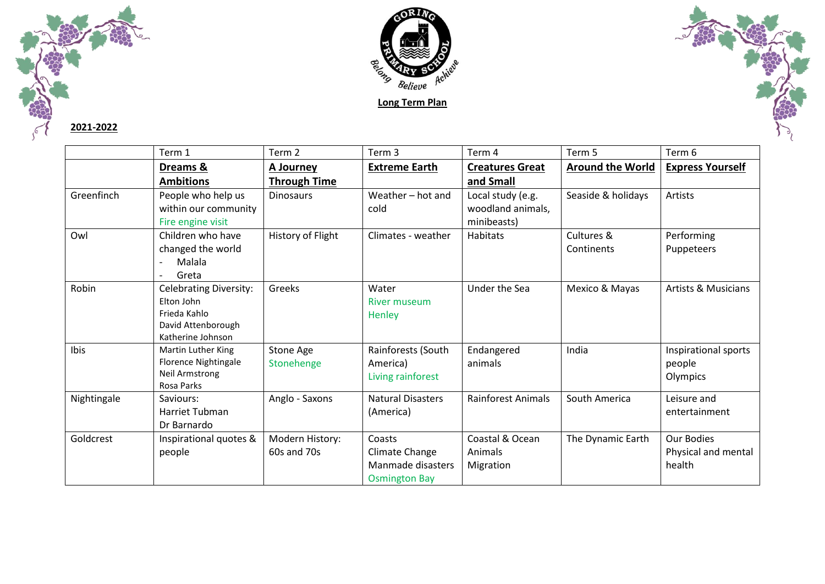

## **2021-2022**